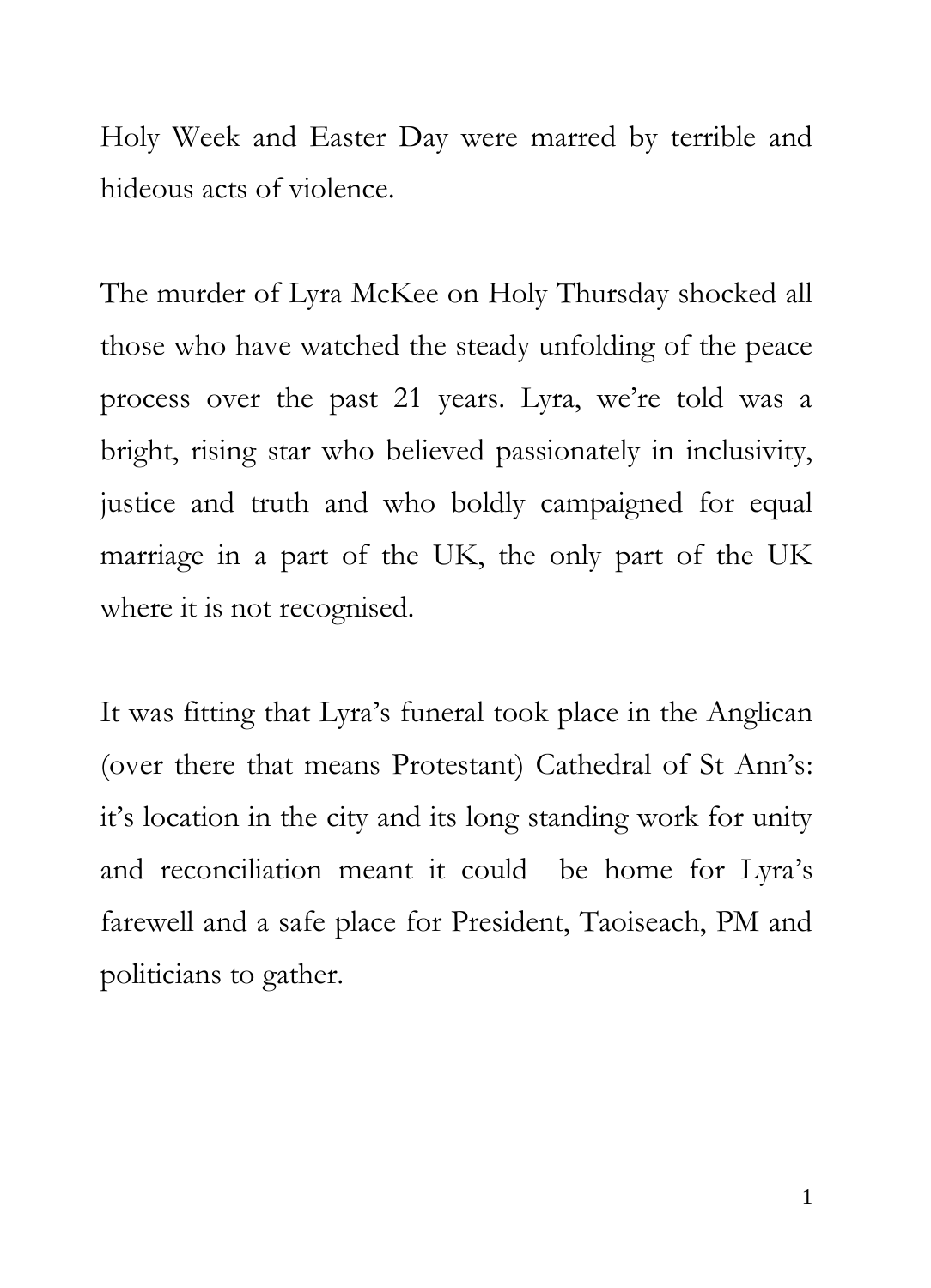Holy Week and Easter Day were marred by terrible and hideous acts of violence.

The murder of Lyra McKee on Holy Thursday shocked all those who have watched the steady unfolding of the peace process over the past 21 years. Lyra, we're told was a bright, rising star who believed passionately in inclusivity, justice and truth and who boldly campaigned for equal marriage in a part of the UK, the only part of the UK where it is not recognised.

It was fitting that Lyra's funeral took place in the Anglican (over there that means Protestant) Cathedral of St Ann's: it's location in the city and its long standing work for unity and reconciliation meant it could be home for Lyra's farewell and a safe place for President, Taoiseach, PM and politicians to gather.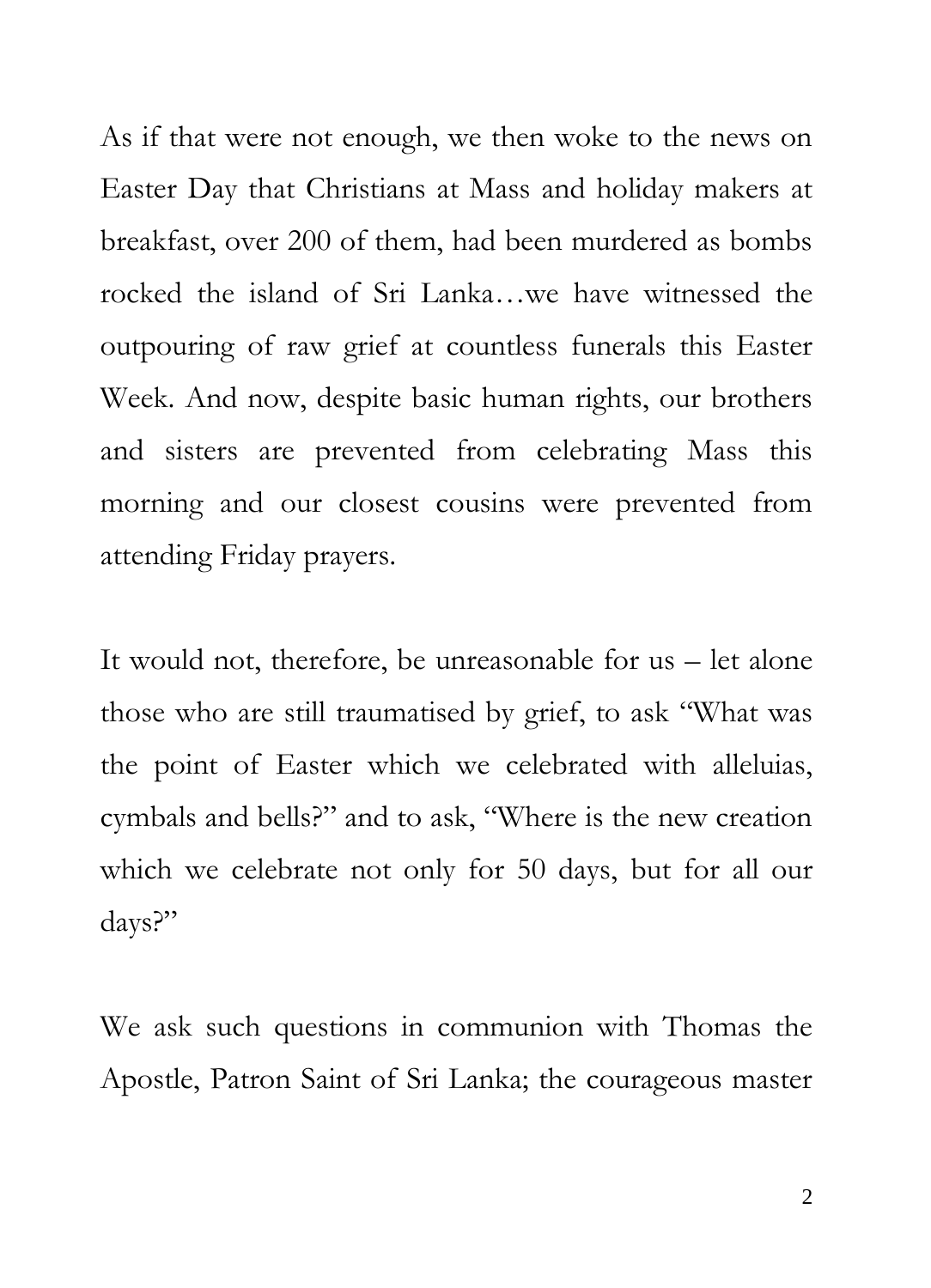As if that were not enough, we then woke to the news on Easter Day that Christians at Mass and holiday makers at breakfast, over 200 of them, had been murdered as bombs rocked the island of Sri Lanka…we have witnessed the outpouring of raw grief at countless funerals this Easter Week. And now, despite basic human rights, our brothers and sisters are prevented from celebrating Mass this morning and our closest cousins were prevented from attending Friday prayers.

It would not, therefore, be unreasonable for us – let alone those who are still traumatised by grief, to ask "What was the point of Easter which we celebrated with alleluias, cymbals and bells?" and to ask, "Where is the new creation which we celebrate not only for 50 days, but for all our days?"

We ask such questions in communion with Thomas the Apostle, Patron Saint of Sri Lanka; the courageous master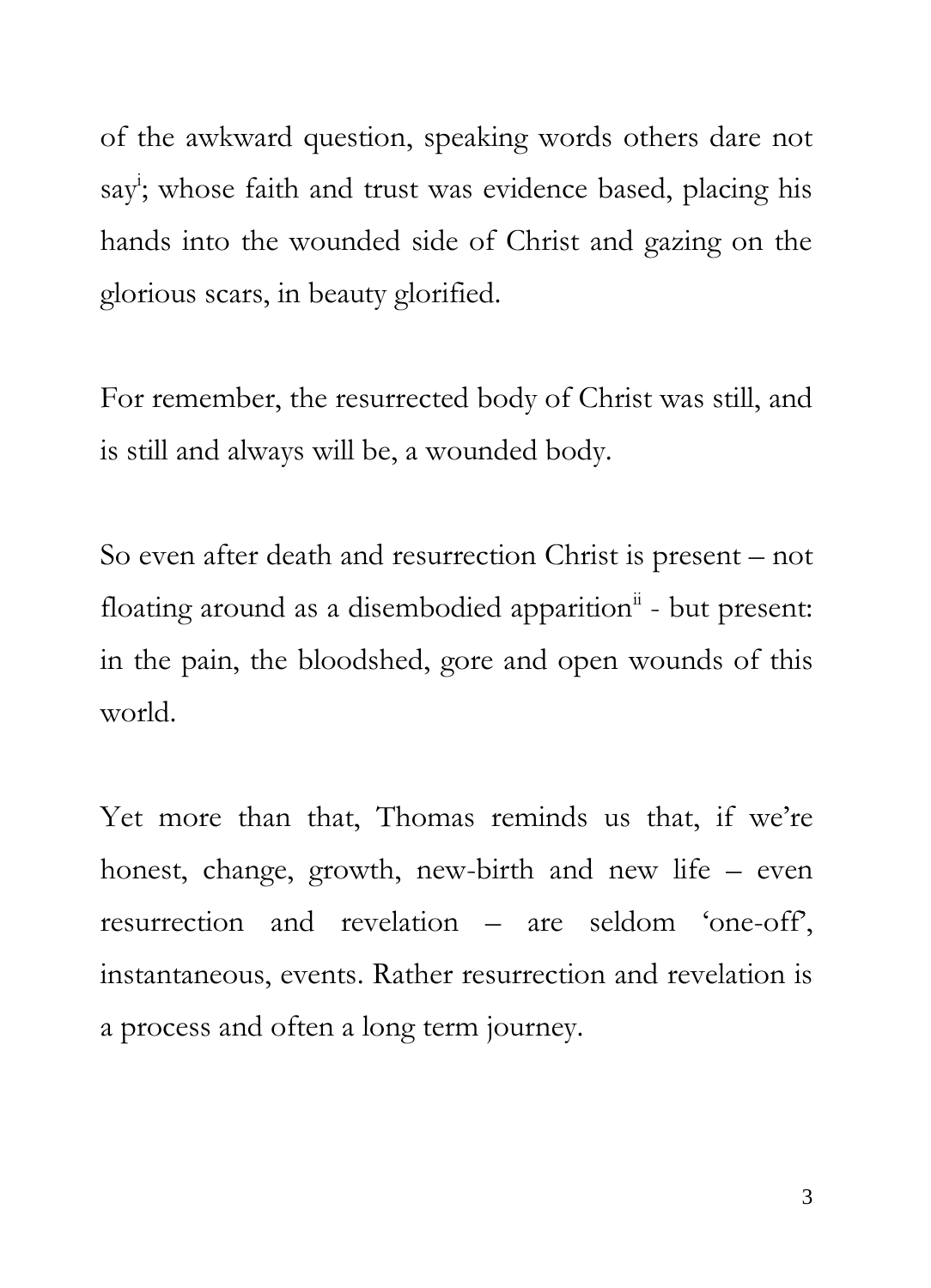of the awkward question, speaking words others dare not say<sup>i</sup>; whose faith and trust was evidence based, placing his hands into the wounded side of Christ and gazing on the glorious scars, in beauty glorified.

For remember, the resurrected body of Christ was still, and is still and always will be, a wounded body.

So even after death and resurrection Christ is present – not floating around as a disembodied apparition<sup>ii</sup> - but present: in the pain, the bloodshed, gore and open wounds of this world.

Yet more than that, Thomas reminds us that, if we're honest, change, growth, new-birth and new life – even resurrection and revelation – are seldom 'one-off', instantaneous, events. Rather resurrection and revelation is a process and often a long term journey.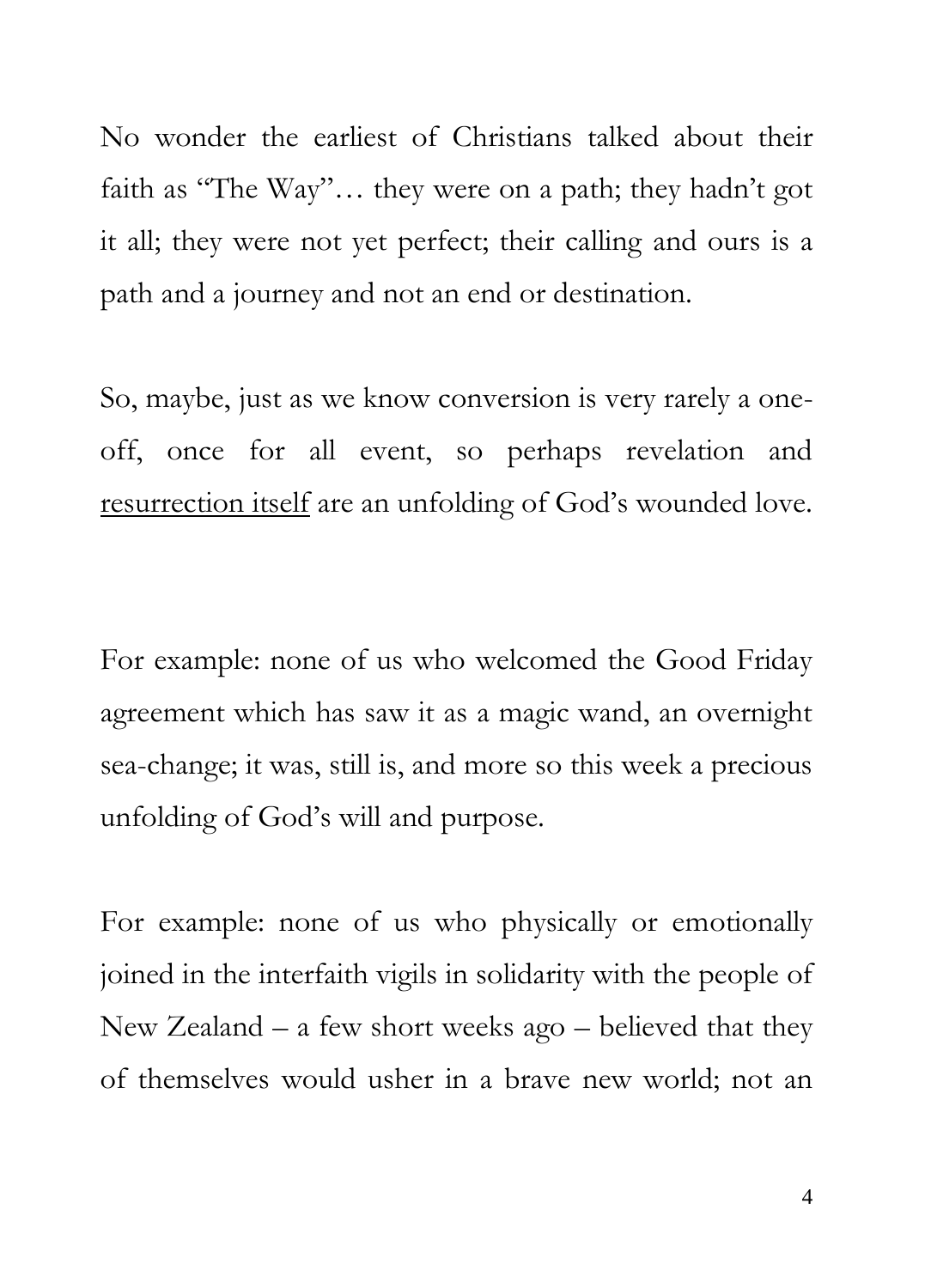No wonder the earliest of Christians talked about their faith as "The Way"… they were on a path; they hadn't got it all; they were not yet perfect; their calling and ours is a path and a journey and not an end or destination.

So, maybe, just as we know conversion is very rarely a oneoff, once for all event, so perhaps revelation and resurrection itself are an unfolding of God's wounded love.

For example: none of us who welcomed the Good Friday agreement which has saw it as a magic wand, an overnight sea-change; it was, still is, and more so this week a precious unfolding of God's will and purpose.

For example: none of us who physically or emotionally joined in the interfaith vigils in solidarity with the people of New Zealand – a few short weeks ago – believed that they of themselves would usher in a brave new world; not an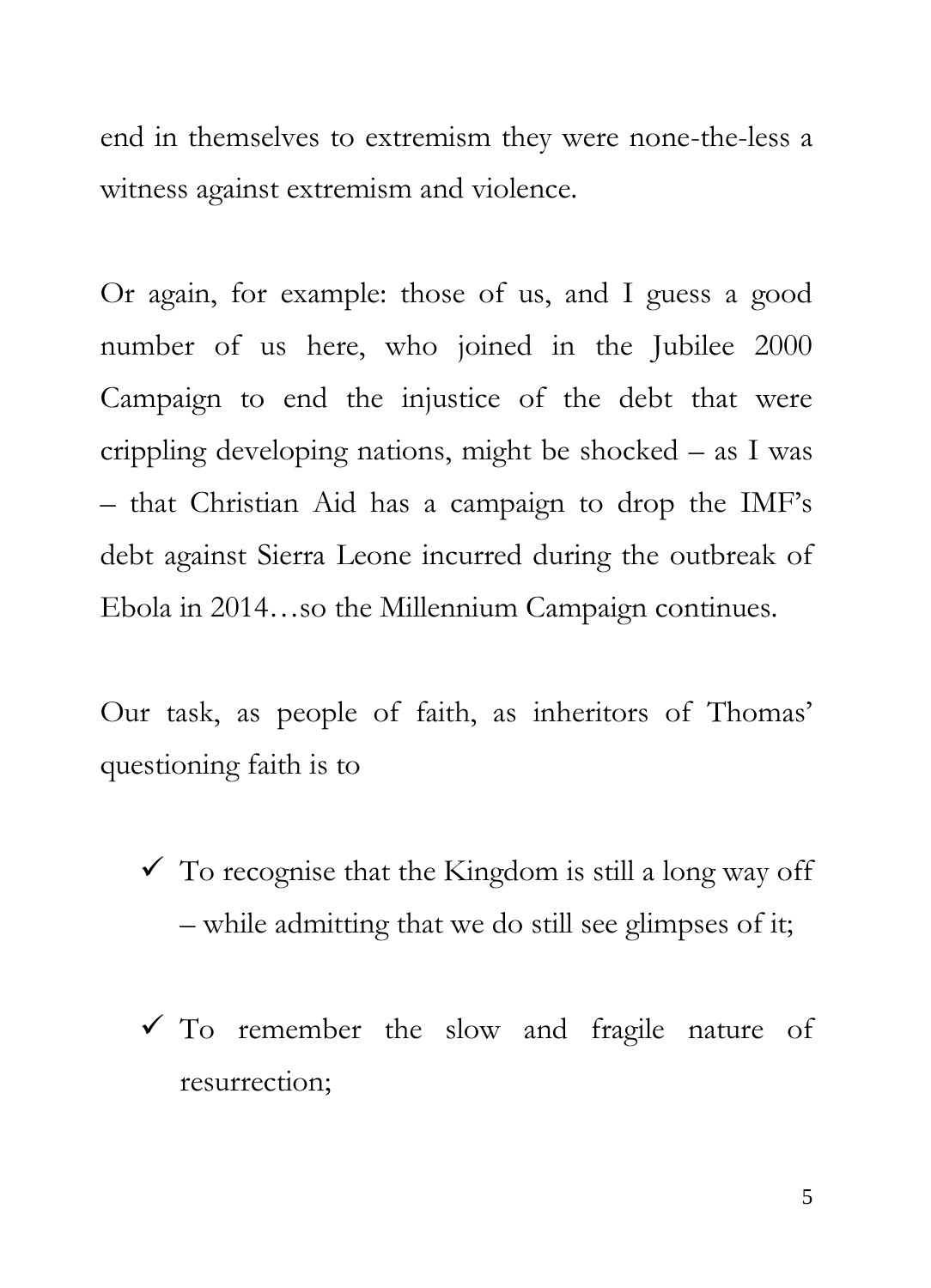end in themselves to extremism they were none-the-less a witness against extremism and violence.

Or again, for example: those of us, and I guess a good number of us here, who joined in the Jubilee 2000 Campaign to end the injustice of the debt that were crippling developing nations, might be shocked – as I was – that Christian Aid has a campaign to drop the IMF's debt against Sierra Leone incurred during the outbreak of Ebola in 2014…so the Millennium Campaign continues.

Our task, as people of faith, as inheritors of Thomas' questioning faith is to

- $\checkmark$  To recognise that the Kingdom is still a long way off – while admitting that we do still see glimpses of it;
- $\checkmark$  To remember the slow and fragile nature of resurrection;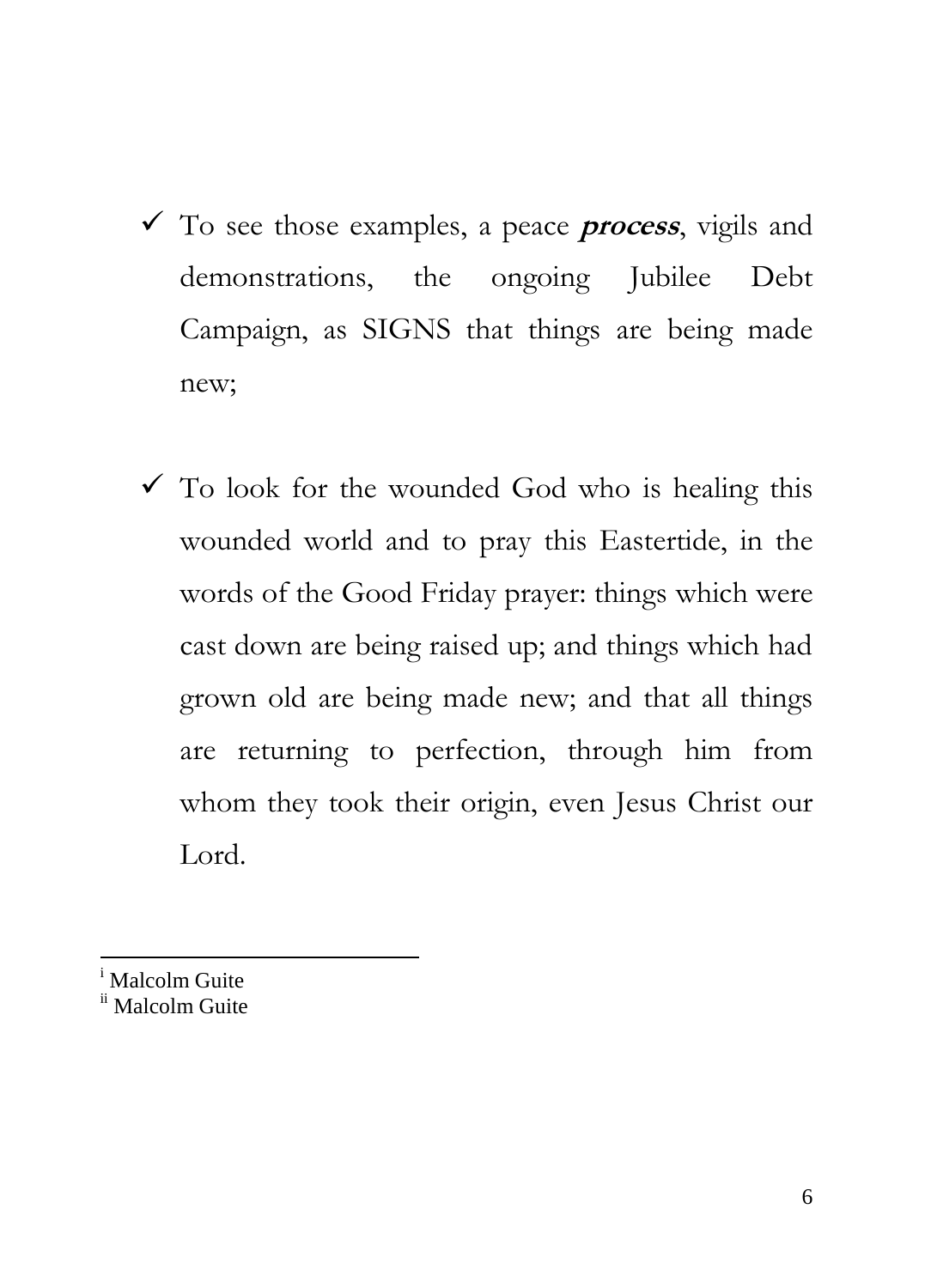- To see those examples, a peace **process**, vigils and demonstrations, the ongoing Jubilee Debt Campaign, as SIGNS that things are being made new;
- $\checkmark$  To look for the wounded God who is healing this wounded world and to pray this Eastertide, in the words of the Good Friday prayer: things which were cast down are being raised up; and things which had grown old are being made new; and that all things are returning to perfection, through him from whom they took their origin, even Jesus Christ our Lord.
- Malcolm Guite

l

ii Malcolm Guite